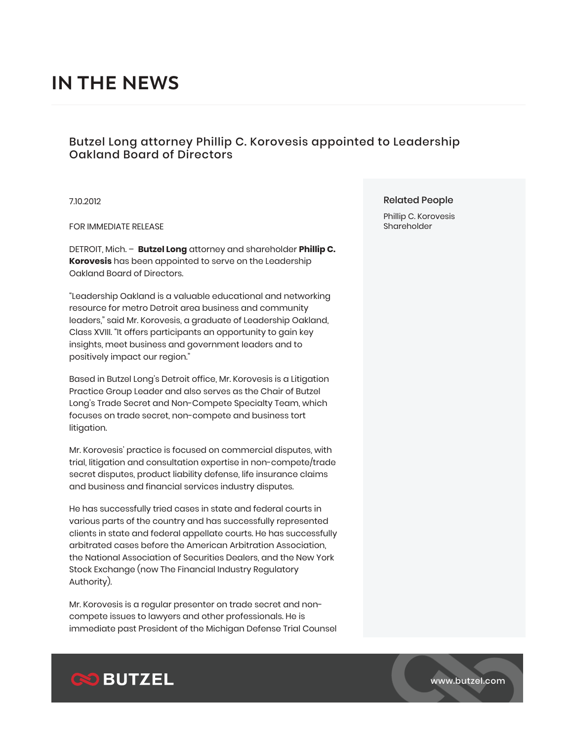# **IN THE NEWS**

## Butzel Long attorney Phillip C. Korovesis appointed to Leadership Oakland Board of Directors

7.10.2012

FOR IMMEDIATE RELEASE

DETROIT, Mich. – **Butzel Long** attorney and shareholder **Phillip C. Korovesis** has been appointed to serve on the Leadership Oakland Board of Directors.

"Leadership Oakland is a valuable educational and networking resource for metro Detroit area business and community leaders," said Mr. Korovesis, a graduate of Leadership Oakland, Class XVIII. "It offers participants an opportunity to gain key insights, meet business and government leaders and to positively impact our region."

Based in Butzel Long's Detroit office, Mr. Korovesis is a Litigation Practice Group Leader and also serves as the Chair of Butzel Long's Trade Secret and Non-Compete Specialty Team, which focuses on trade secret, non-compete and business tort litigation.

Mr. Korovesis' practice is focused on commercial disputes, with trial, litigation and consultation expertise in non-compete/trade secret disputes, product liability defense, life insurance claims and business and financial services industry disputes.

He has successfully tried cases in state and federal courts in various parts of the country and has successfully represented clients in state and federal appellate courts. He has successfully arbitrated cases before the American Arbitration Association, the National Association of Securities Dealers, and the New York Stock Exchange (now The Financial Industry Regulatory Authority).

Mr. Korovesis is a regular presenter on trade secret and noncompete issues to lawyers and other professionals. He is immediate past President of the Michigan Defense Trial Counsel

#### Related People

Phillip C. Korovesis Shareholder



www.butzel.com